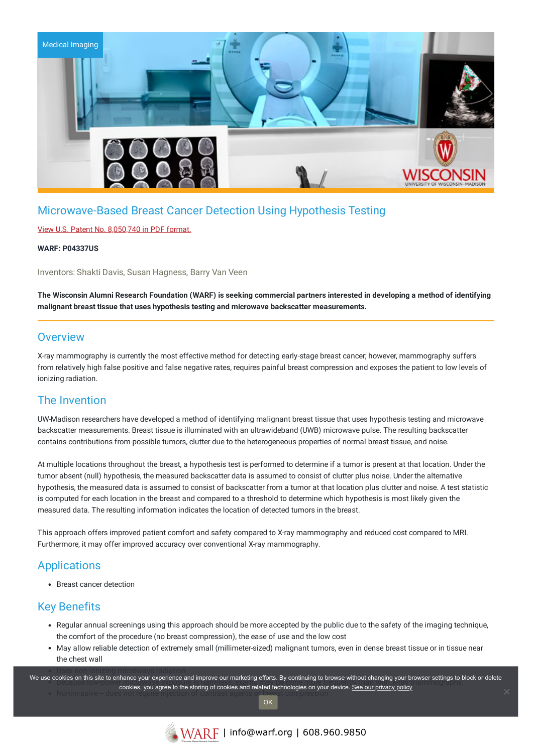

# Microwave-Based Breast Cancer Detection Using Hypothesis Testing

### View U.S. Patent No. [8,050,740](https://www.warf.org/wp-content/uploads/technologies/ipstatus/P04337US.PDF) in PDF format.

#### **WARF: P04337US**

Inventors: Shakti Davis, Susan Hagness, Barry Van Veen

The Wisconsin Alumni Research Foundation (WARF) is seeking commercial partners interested in developing a method of identifying **malignant breast tissue that uses hypothesis testing and microwave backscatter measurements.**

### **Overview**

X-ray mammography is currently the most effective method for detecting early-stage breast cancer; however, mammography suffers from relatively high false positive and false negative rates, requires painful breast compression and exposes the patient to low levels of ionizing radiation.

# The Invention

UW-Madison researchers have developed a method of identifying malignant breast tissue that uses hypothesis testing and microwave backscatter measurements. Breast tissue is illuminated with an ultrawideband (UWB) microwave pulse. The resulting backscatter contains contributions from possible tumors, clutter due to the heterogeneous properties of normal breast tissue, and noise.

At multiple locations throughout the breast, a hypothesis test is performed to determine if a tumor is present at that location. Under the tumor absent (null) hypothesis, the measured backscatter data is assumed to consist of clutter plus noise. Under the alternative hypothesis, the measured data is assumed to consist of backscatter from a tumor at that location plus clutter and noise. A test statistic is computed for each location in the breast and compared to a threshold to determine which hypothesis is most likely given the measured data. The resulting information indicates the location of detected tumors in the breast.

This approach offers improved patient comfort and safety compared to X-ray mammography and reduced cost compared to MRI. Furthermore, it may offer improved accuracy over conventional X-ray mammography.

# Applications

Breast cancer detection

# Key Benefits

- Regular annual screenings using this approach should be more accepted by the public due to the safety of the imaging technique, the comfort of the procedure (no breast compression), the ease of use and the low cost
- May allow reliable detection of extremely small (millimeter-sized) malignant tumors, even in dense breast tissue or in tissue near the chest wall

We use cookies on this site to enhance your experience and improve our marketing efforts. By continuing to browse without changing your browser settings to block or delete cookies, you agree to the storing of cookies and related technologies on your device. <u>See our privacy policy</u><br>Noninvasive – does